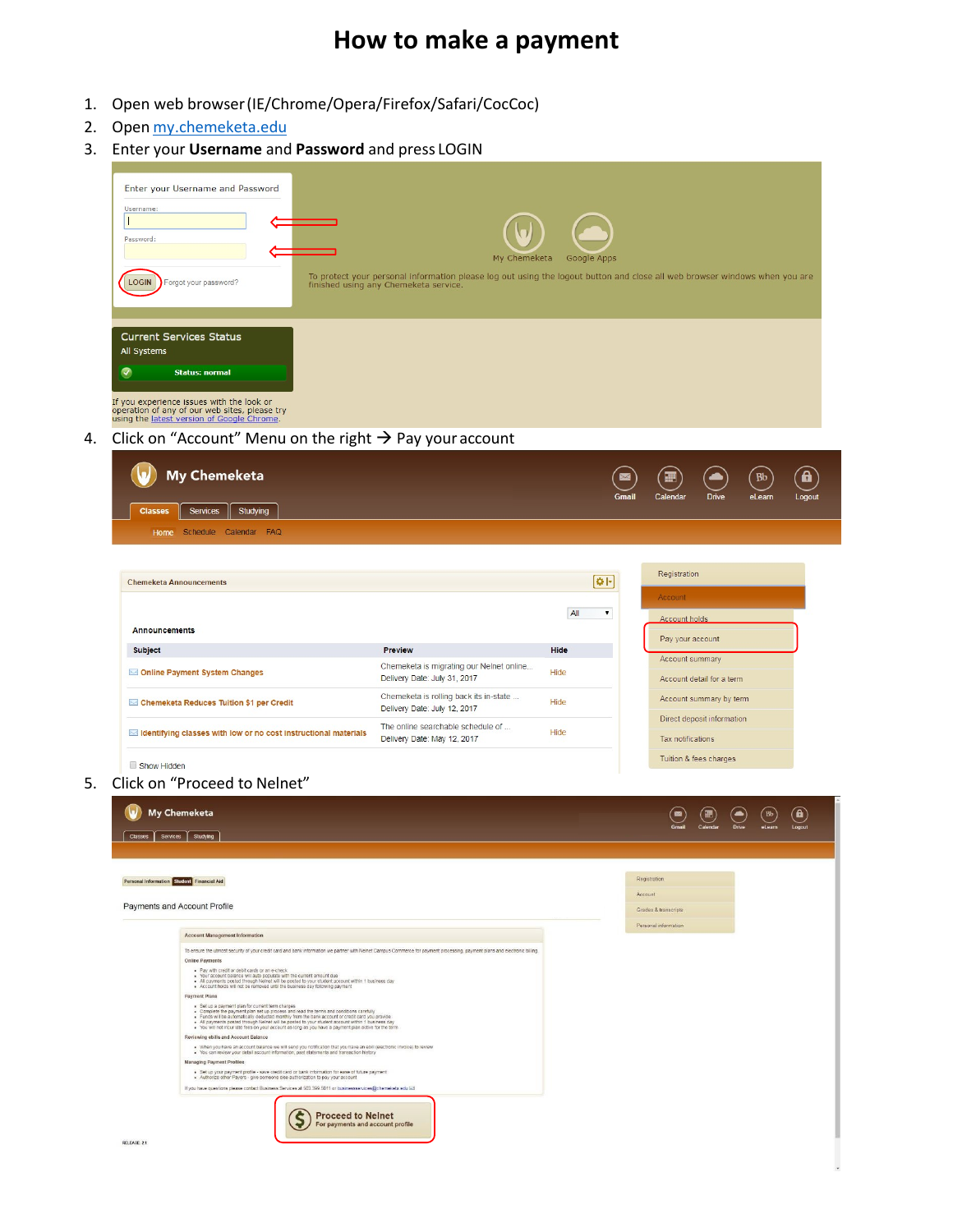## **How to make a payment**

- 1. Open web browser(IE/Chrome/Opera/Firefox/Safari/CocCoc)
- 2. Open [my.chemeketa.edu](https://sso.chemeketa.edu/cas/login?service=https%3A%2F%2Fportal.chemeketa.edu%2Fc%2Fportal%2Flogin)
- 3. Enter your **Username** and **Password** and press LOGIN

| Enter your Username and Password                                                                                                                                                                                                                                                                                                                                                                       |                                                                                                                                                                     |              |                         |                            |                  |
|--------------------------------------------------------------------------------------------------------------------------------------------------------------------------------------------------------------------------------------------------------------------------------------------------------------------------------------------------------------------------------------------------------|---------------------------------------------------------------------------------------------------------------------------------------------------------------------|--------------|-------------------------|----------------------------|------------------|
| Username:<br>Τ                                                                                                                                                                                                                                                                                                                                                                                         |                                                                                                                                                                     |              |                         |                            |                  |
| Password:                                                                                                                                                                                                                                                                                                                                                                                              |                                                                                                                                                                     |              |                         |                            |                  |
|                                                                                                                                                                                                                                                                                                                                                                                                        | My Chemeketa                                                                                                                                                        | Google Apps  |                         |                            |                  |
| LOGIN<br>Forgot your password?                                                                                                                                                                                                                                                                                                                                                                         | To protect your personal information please log out using the logout button and close all web browser windows when you are<br>finished using any Chemeketa service. |              |                         |                            |                  |
|                                                                                                                                                                                                                                                                                                                                                                                                        |                                                                                                                                                                     |              |                         |                            |                  |
| <b>Current Services Status</b>                                                                                                                                                                                                                                                                                                                                                                         |                                                                                                                                                                     |              |                         |                            |                  |
| All Systems                                                                                                                                                                                                                                                                                                                                                                                            |                                                                                                                                                                     |              |                         |                            |                  |
| ᢦ<br><b>Status: normal</b>                                                                                                                                                                                                                                                                                                                                                                             |                                                                                                                                                                     |              |                         |                            |                  |
| If you experience issues with the look or                                                                                                                                                                                                                                                                                                                                                              |                                                                                                                                                                     |              |                         |                            |                  |
| operation of any of our web sites, please try<br>using the latest version of Google Chrome.                                                                                                                                                                                                                                                                                                            |                                                                                                                                                                     |              |                         |                            |                  |
| Click on "Account" Menu on the right $\rightarrow$ Pay your account                                                                                                                                                                                                                                                                                                                                    |                                                                                                                                                                     |              |                         |                            |                  |
| <b>My Chemeketa</b>                                                                                                                                                                                                                                                                                                                                                                                    |                                                                                                                                                                     |              |                         |                            | <b>Bb</b>        |
|                                                                                                                                                                                                                                                                                                                                                                                                        |                                                                                                                                                                     | <b>Gmail</b> | Calendar                | <b>Drive</b>               | eLearn<br>Logout |
| <b>Services</b><br>Studying<br>Classes                                                                                                                                                                                                                                                                                                                                                                 |                                                                                                                                                                     |              |                         |                            |                  |
| Home Schedule Calendar FAQ                                                                                                                                                                                                                                                                                                                                                                             |                                                                                                                                                                     |              |                         |                            |                  |
|                                                                                                                                                                                                                                                                                                                                                                                                        |                                                                                                                                                                     |              |                         |                            |                  |
| <b>Chemeketa Announcements</b>                                                                                                                                                                                                                                                                                                                                                                         |                                                                                                                                                                     | $Q$  -       | Registration            |                            |                  |
|                                                                                                                                                                                                                                                                                                                                                                                                        |                                                                                                                                                                     | All<br>۷.    | Account                 |                            |                  |
| Announcements                                                                                                                                                                                                                                                                                                                                                                                          |                                                                                                                                                                     |              | Account holds           |                            |                  |
| <b>Subject</b>                                                                                                                                                                                                                                                                                                                                                                                         | <b>Preview</b>                                                                                                                                                      | Hide         | Pay your account        |                            |                  |
| Online Payment System Changes                                                                                                                                                                                                                                                                                                                                                                          | Chemeketa is migrating our Nelnet online<br>Delivery Date: July 31, 2017                                                                                            | Hide         | Account summary         | Account detail for a term  |                  |
| Chemeketa Reduces Tuition \$1 per Credit                                                                                                                                                                                                                                                                                                                                                               | Chemeketa is rolling back its in-state                                                                                                                              | Hide         |                         | Account summary by term    |                  |
|                                                                                                                                                                                                                                                                                                                                                                                                        | Delivery Date: July 12, 2017                                                                                                                                        |              |                         | Direct deposit information |                  |
| Identifying classes with low or no cost instructional materials                                                                                                                                                                                                                                                                                                                                        | The online searchable schedule of<br>Delivery Date: May 12, 2017                                                                                                    | Hide         | Tax notifications       |                            |                  |
| Show Hidden                                                                                                                                                                                                                                                                                                                                                                                            |                                                                                                                                                                     |              | Tuition & fees charges  |                            |                  |
| Click on "Proceed to Nelnet"                                                                                                                                                                                                                                                                                                                                                                           |                                                                                                                                                                     |              |                         |                            |                  |
|                                                                                                                                                                                                                                                                                                                                                                                                        |                                                                                                                                                                     |              |                         |                            |                  |
| <b>My Chemeketa</b>                                                                                                                                                                                                                                                                                                                                                                                    |                                                                                                                                                                     |              |                         |                            |                  |
|                                                                                                                                                                                                                                                                                                                                                                                                        |                                                                                                                                                                     |              |                         |                            |                  |
| Services Studying<br>Classes                                                                                                                                                                                                                                                                                                                                                                           |                                                                                                                                                                     |              |                         |                            |                  |
|                                                                                                                                                                                                                                                                                                                                                                                                        |                                                                                                                                                                     |              |                         |                            |                  |
|                                                                                                                                                                                                                                                                                                                                                                                                        |                                                                                                                                                                     |              | Registration<br>Account |                            |                  |
|                                                                                                                                                                                                                                                                                                                                                                                                        |                                                                                                                                                                     |              | Grades & transcripts    |                            |                  |
| <b>Account Management Information</b>                                                                                                                                                                                                                                                                                                                                                                  |                                                                                                                                                                     |              | Personal information    |                            |                  |
| To ensure the utmost security of your credit card and bank information we partner with Nelnet Campus Commerce for payment processing, payment plans and electronic billing.<br>Online Payments                                                                                                                                                                                                         |                                                                                                                                                                     |              |                         |                            |                  |
| Personal Information Student Financial Aid<br>Payments and Account Profile<br>■ Pay with credit or debit cards or an e-check<br>■ Your account balance will auto populate with the current amount due<br>■ All payments posted through Neinet will be posted to your student account within 1 business day                                                                                             |                                                                                                                                                                     |              |                         |                            |                  |
| . Account holds will not be removed until the business day following payment<br>Payment Plans                                                                                                                                                                                                                                                                                                          |                                                                                                                                                                     |              |                         |                            |                  |
| Set up a payment plan for current term charges<br>Complete the payment plan set up process and read the terms and conditions carefully                                                                                                                                                                                                                                                                 |                                                                                                                                                                     |              |                         |                            |                  |
| - Funds will be automatically deducted monthly from the bank account or credit card you provide<br>- All payments posted through Neinet will be posted to your student account within 1 business day<br>- You will not incur late fe<br>Reviewing ebills and Account Balance<br>. When you have an account balance we will send you notification that you have an ebill felectronic invoice) to review |                                                                                                                                                                     |              |                         |                            |                  |
| You can review your detail account information, past statements and transaction history<br><b>Managing Payment Profiles</b><br>· Set up your payment profile - save credit card or bank information for ease of future payment                                                                                                                                                                         |                                                                                                                                                                     |              |                         |                            |                  |

Proceed to Nelnet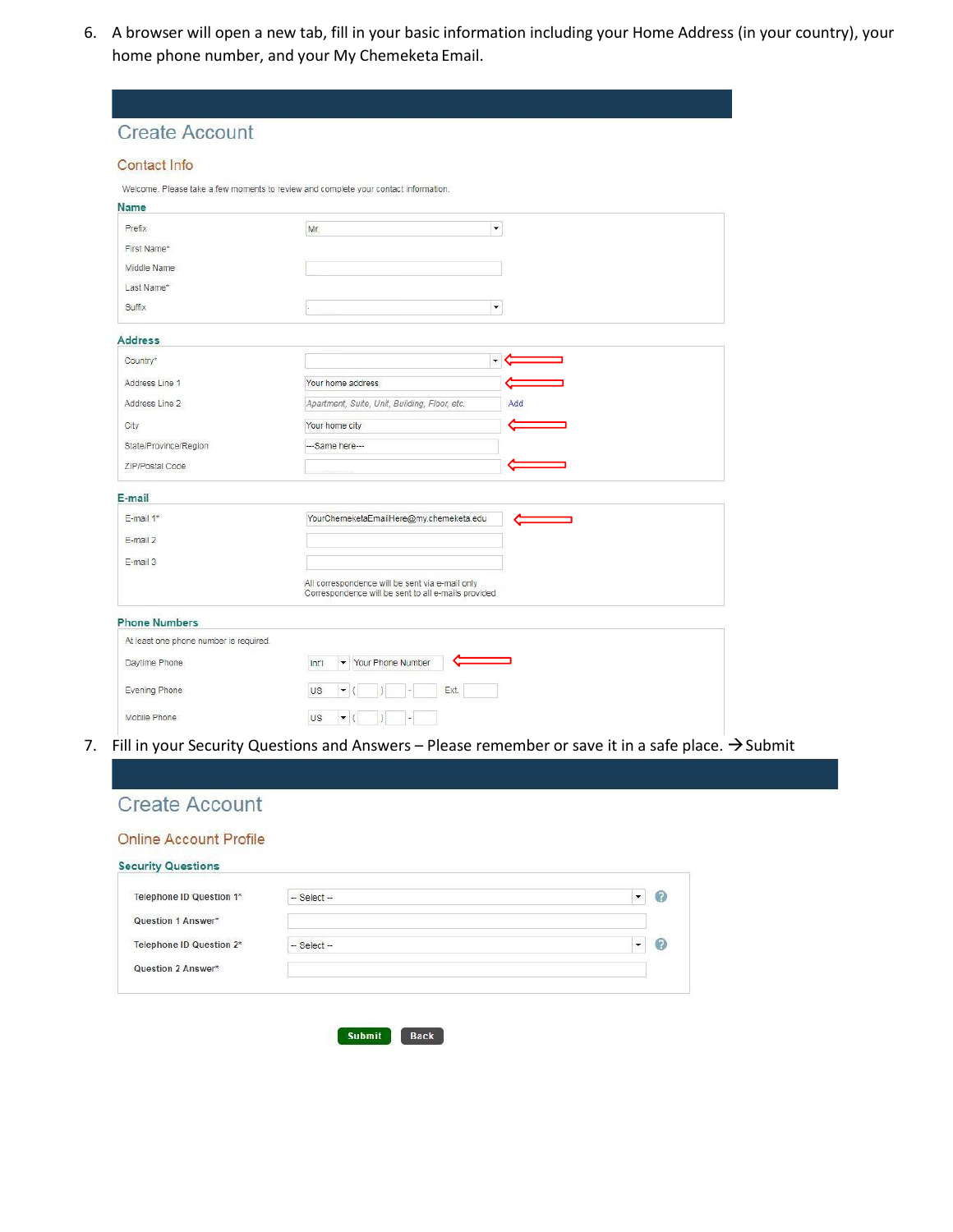6. A browser will open a new tab, fill in your basic information including your Home Address (in your country), your home phone number, and your My Chemeketa Email.

| <b>Create Account</b>                  |                                                                                                        |  |
|----------------------------------------|--------------------------------------------------------------------------------------------------------|--|
| Contact Info                           |                                                                                                        |  |
|                                        | Welcome. Please take a few moments to review and complete your contact information.                    |  |
| Name                                   |                                                                                                        |  |
| Prefix                                 | $\blacktriangledown$<br>Mr.                                                                            |  |
| First Name*                            |                                                                                                        |  |
| Middle Name                            |                                                                                                        |  |
| Last Name*                             |                                                                                                        |  |
| Suffix                                 | $\blacktriangledown$                                                                                   |  |
| <b>Address</b>                         |                                                                                                        |  |
| Country*                               | $\blacktriangledown$                                                                                   |  |
| Address Line 1                         | Your home address                                                                                      |  |
| Address Line 2                         | Apartment, Suite, Unit, Building, Floor, etc.<br>Add                                                   |  |
| City                                   | Your home city                                                                                         |  |
| State/Province/Region                  | --Same here---                                                                                         |  |
| ZIP/Postal Code                        |                                                                                                        |  |
| E-mail                                 |                                                                                                        |  |
| E-mail 1*                              | YourChemeketaEmailHere@my.chemeketa.edu                                                                |  |
| E-mail 2                               |                                                                                                        |  |
| E-mail 3                               |                                                                                                        |  |
|                                        | All correspondence will be sent via e-mail only<br>Correspondence will be sent to all e-mails provided |  |
| <b>Phone Numbers</b>                   |                                                                                                        |  |
| At least one phone number is required. |                                                                                                        |  |
| Daytime Phone                          | Your Phone Number<br>Inti<br>$\blacktriangledown$                                                      |  |
| Evening Phone                          | US<br>Ext.<br>$\blacktriangledown$                                                                     |  |
|                                        |                                                                                                        |  |

7. Fill in your Security Questions and Answers – Please remember or save it in a safe place.  $\rightarrow$  Submit



## **Online Account Profile**

| Telephone ID Question 1* | $-$ Select $-$ | 3 |
|--------------------------|----------------|---|
| Question 1 Answer*       |                |   |
| Telephone ID Question 2* | $-$ Select $-$ | 7 |
| Question 2 Answer*       |                |   |

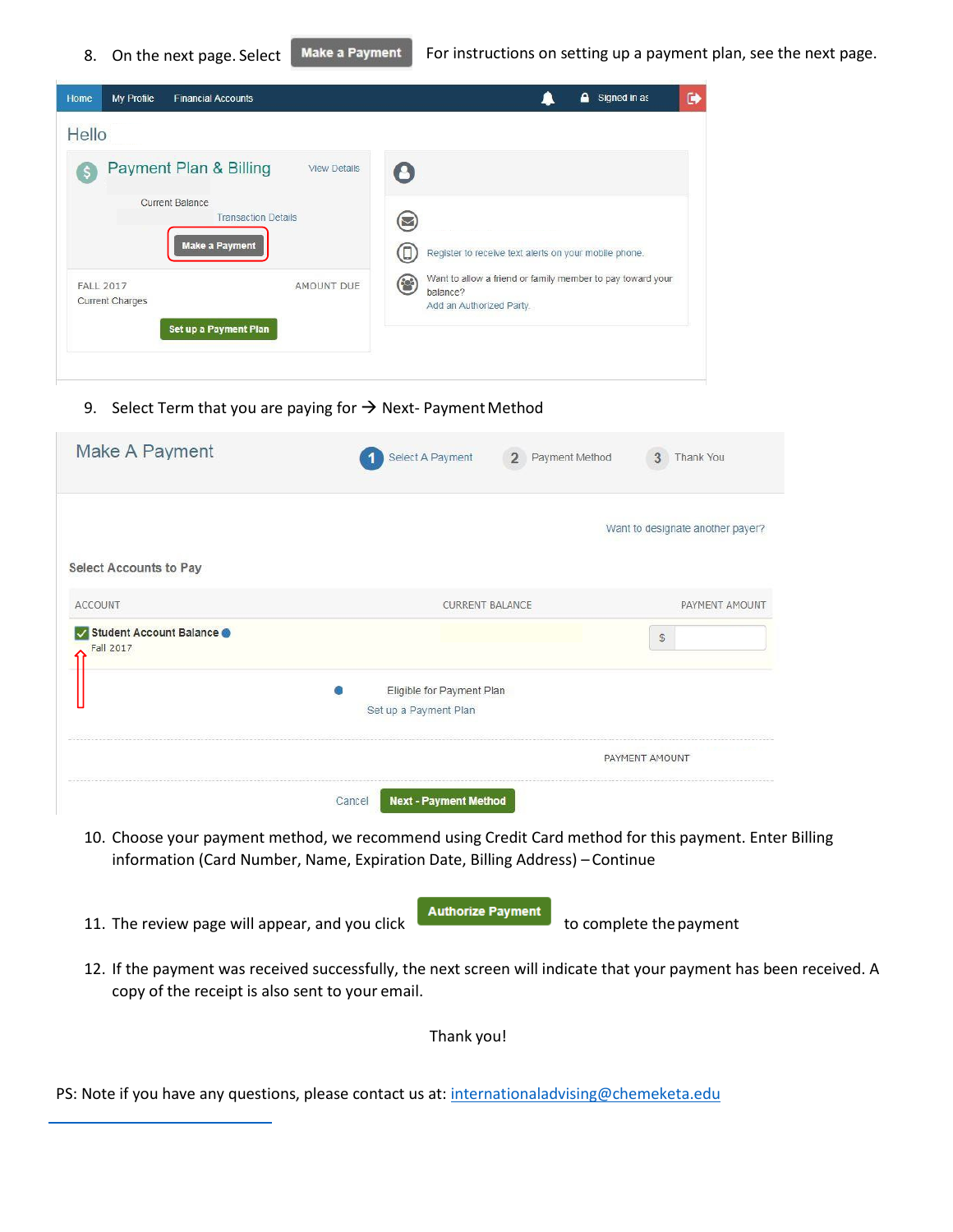| My Profile<br><b>Financial Accounts</b><br>Home                               | $\bullet$<br>А.<br>Signed in as                                                                                                |
|-------------------------------------------------------------------------------|--------------------------------------------------------------------------------------------------------------------------------|
| Hello                                                                         |                                                                                                                                |
| Payment Plan & Billing<br><b>View Details</b>                                 |                                                                                                                                |
| <b>Current Balance</b><br><b>Transaction Details</b><br><b>Make a Payment</b> | Register to receive text alerts on your mobile phone.                                                                          |
| FALL 2017<br>AMOUNT DUE<br><b>Current Charges</b><br>Set up a Payment Plan    | Want to allow a friend or family member to pay toward your<br>$\left( \bullet \right)$<br>balance?<br>Add an Authorized Party. |
|                                                                               |                                                                                                                                |

9. Select Term that you are paying for  $\rightarrow$  Next-Payment Method

| Make A Payment                       | Select A Payment<br>$\overline{2}$<br>Payment Method | 3<br>Thank You                   |
|--------------------------------------|------------------------------------------------------|----------------------------------|
|                                      |                                                      | Want to designate another payer? |
| <b>Select Accounts to Pay</b>        |                                                      |                                  |
| ACCOUNT                              | <b>CURRENT BALANCE</b>                               | PAYMENT AMOUNT                   |
| Student Account Balance<br>Fall 2017 |                                                      | S                                |
|                                      | Eligible for Payment Plan                            |                                  |
|                                      | Set up a Payment Plan                                |                                  |
|                                      |                                                      | PAYMENT AMOUNT                   |
|                                      | <b>Next - Payment Method</b><br>Cancel               |                                  |

- 10. Choose your payment method, we recommend using Credit Card method for this payment. Enter Billing information (Card Number, Name, Expiration Date, Billing Address) – Continue
- 11. The review page will appear, and you click **Authorize Payment** to complete the payment
- 12. If the payment was received successfully, the next screen will indicate that your payment has been received. A copy of the receipt is also sent to your email.

Thank you!

PS: Note if you have any questions, please contact us at[: internationaladvising@chemeketa.edu](mailto:internationaladmissions@chemeketa.edu)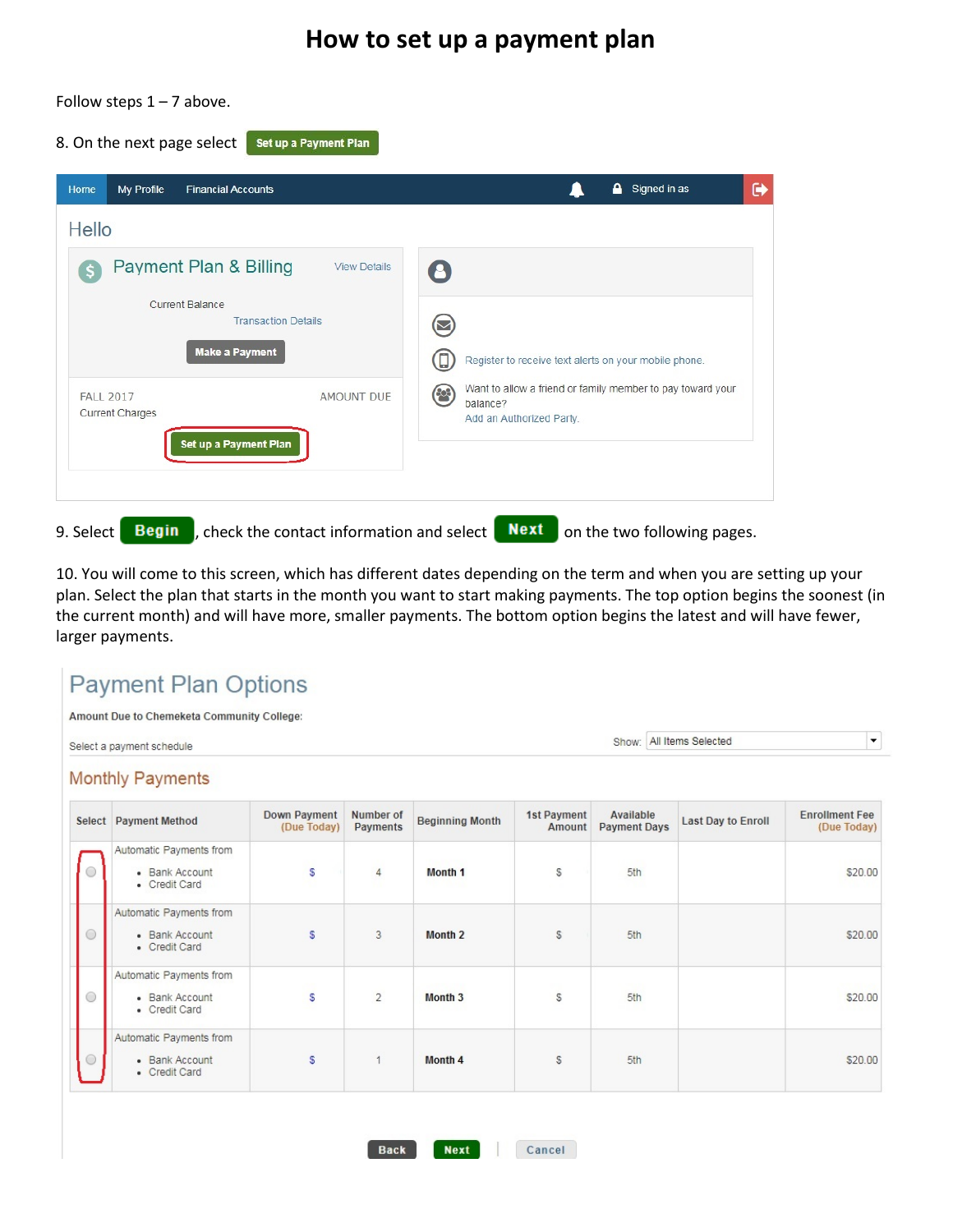## **How to set up a payment plan**



Follow steps  $1 - 7$  above.

10. You will come to this screen, which has different dates depending on the term and when you are setting up your plan. Select the plan that starts in the month you want to start making payments. The top option begins the soonest (in the current month) and will have more, smaller payments. The bottom option begins the latest and will have fewer, larger payments.

## **Payment Plan Options** Amount Due to Chemeketa Community College: Show: All Items Selected  $\bullet$ Select a payment schedule **Monthly Payments**

|            | Select Payment Method                                      | Down Payment<br>(Due Today) | Number of<br><b>Payments</b> | <b>Beginning Month</b> | 1st Payment<br>Amount | Available<br><b>Payment Days</b> | <b>Last Day to Enroll</b> | <b>Enrollment Fee</b><br>(Due Today) |
|------------|------------------------------------------------------------|-----------------------------|------------------------------|------------------------|-----------------------|----------------------------------|---------------------------|--------------------------------------|
| 0          | Automatic Payments from<br>• Bank Account<br>• Credit Card | S                           | 4                            | Month 1                | S                     | 5th                              |                           | \$20.00                              |
| $\bigcirc$ | Automatic Payments from<br>• Bank Account<br>• Credit Card | S                           | 3                            | <b>Month 2</b>         | s.                    | 5th                              |                           | \$20.00                              |
| $\bigcirc$ | Automatic Payments from<br>· Bank Account<br>• Credit Card | S                           | $\overline{2}$               | Month <sub>3</sub>     | S                     | 5th                              |                           | \$20.00                              |
| ∩          | Automatic Payments from<br>• Bank Account<br>• Credit Card | s                           | 1                            | Month 4                | S.                    | 5th                              |                           | \$20.00                              |

**Back** 

**Next**